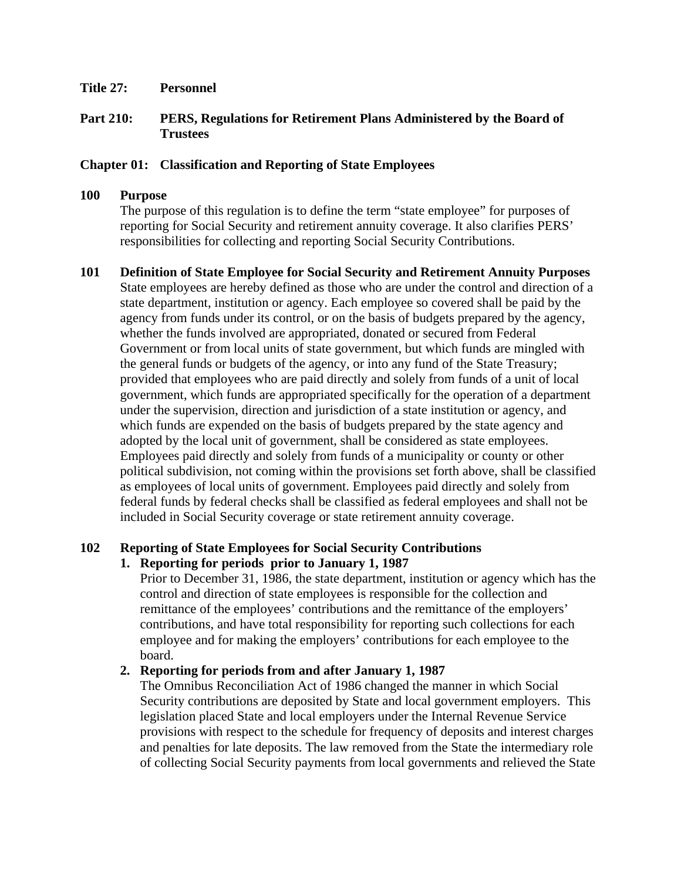**Title 27: Personnel** 

## **Part 210: PERS, Regulations for Retirement Plans Administered by the Board of Trustees**

### **Chapter 01: Classification and Reporting of State Employees**

#### **100 Purpose**

The purpose of this regulation is to define the term "state employee" for purposes of reporting for Social Security and retirement annuity coverage. It also clarifies PERS' responsibilities for collecting and reporting Social Security Contributions.

**101 Definition of State Employee for Social Security and Retirement Annuity Purposes**  State employees are hereby defined as those who are under the control and direction of a state department, institution or agency. Each employee so covered shall be paid by the agency from funds under its control, or on the basis of budgets prepared by the agency, whether the funds involved are appropriated, donated or secured from Federal Government or from local units of state government, but which funds are mingled with the general funds or budgets of the agency, or into any fund of the State Treasury; provided that employees who are paid directly and solely from funds of a unit of local government, which funds are appropriated specifically for the operation of a department under the supervision, direction and jurisdiction of a state institution or agency, and which funds are expended on the basis of budgets prepared by the state agency and adopted by the local unit of government, shall be considered as state employees. Employees paid directly and solely from funds of a municipality or county or other political subdivision, not coming within the provisions set forth above, shall be classified as employees of local units of government. Employees paid directly and solely from federal funds by federal checks shall be classified as federal employees and shall not be included in Social Security coverage or state retirement annuity coverage.

# **102 Reporting of State Employees for Social Security Contributions**

### **1. Reporting for periods prior to January 1, 1987**

Prior to December 31, 1986, the state department, institution or agency which has the control and direction of state employees is responsible for the collection and remittance of the employees' contributions and the remittance of the employers' contributions, and have total responsibility for reporting such collections for each employee and for making the employers' contributions for each employee to the board.

### **2. Reporting for periods from and after January 1, 1987**

The Omnibus Reconciliation Act of 1986 changed the manner in which Social Security contributions are deposited by State and local government employers. This legislation placed State and local employers under the Internal Revenue Service provisions with respect to the schedule for frequency of deposits and interest charges and penalties for late deposits. The law removed from the State the intermediary role of collecting Social Security payments from local governments and relieved the State